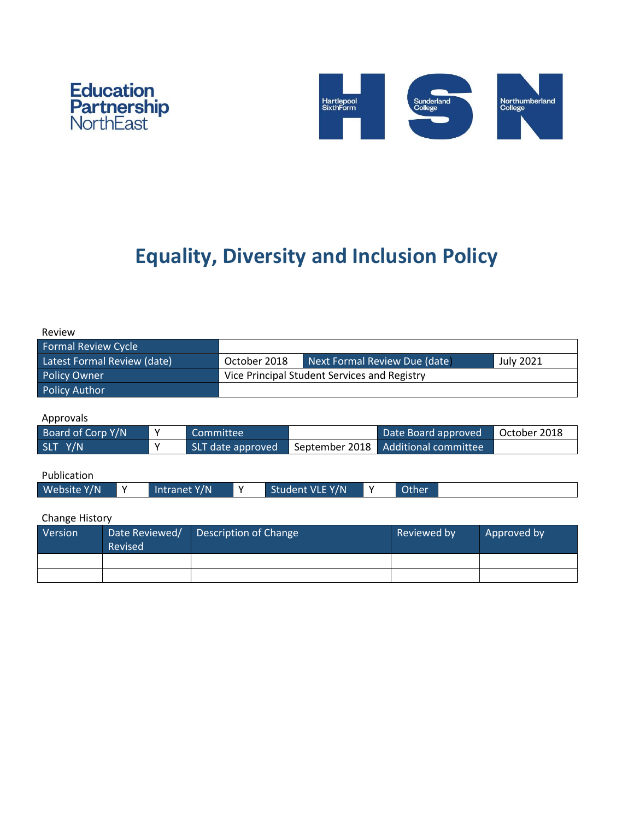



# **Equality, Diversity and Inclusion Policy**

| Review                           |                           |                           |           |                                               |                |  |                             |                     |                  |              |
|----------------------------------|---------------------------|---------------------------|-----------|-----------------------------------------------|----------------|--|-----------------------------|---------------------|------------------|--------------|
| <b>Formal Review Cycle</b>       |                           |                           |           |                                               |                |  |                             |                     |                  |              |
| Latest Formal Review (date)      |                           |                           |           | October 2018<br>Next Formal Review Due (date) |                |  |                             |                     | <b>July 2021</b> |              |
| <b>Policy Owner</b>              |                           |                           |           | Vice Principal Student Services and Registry  |                |  |                             |                     |                  |              |
| <b>Policy Author</b>             |                           |                           |           |                                               |                |  |                             |                     |                  |              |
| Approvals                        |                           |                           |           |                                               |                |  |                             |                     |                  |              |
| Board of Corp Y/N<br>Y           |                           |                           | Committee |                                               |                |  |                             | Date Board approved |                  | October 2018 |
| SLT Y/N<br>Υ                     |                           | SLT date approved         |           |                                               | September 2018 |  | <b>Additional committee</b> |                     |                  |              |
| Publication                      |                           |                           |           |                                               |                |  |                             |                     |                  |              |
| Website Y/N<br>Intranet Y/N<br>Υ |                           | Student VLE Y/N<br>Y<br>Υ |           | Other                                         |                |  |                             |                     |                  |              |
| <b>Change History</b>            |                           |                           |           |                                               |                |  |                             |                     |                  |              |
| Version                          | Date Reviewed/<br>Revised |                           |           | <b>Description of Change</b>                  |                |  |                             | Reviewed by         |                  | Approved by  |
|                                  |                           |                           |           |                                               |                |  |                             |                     |                  |              |
|                                  |                           |                           |           |                                               |                |  |                             |                     |                  |              |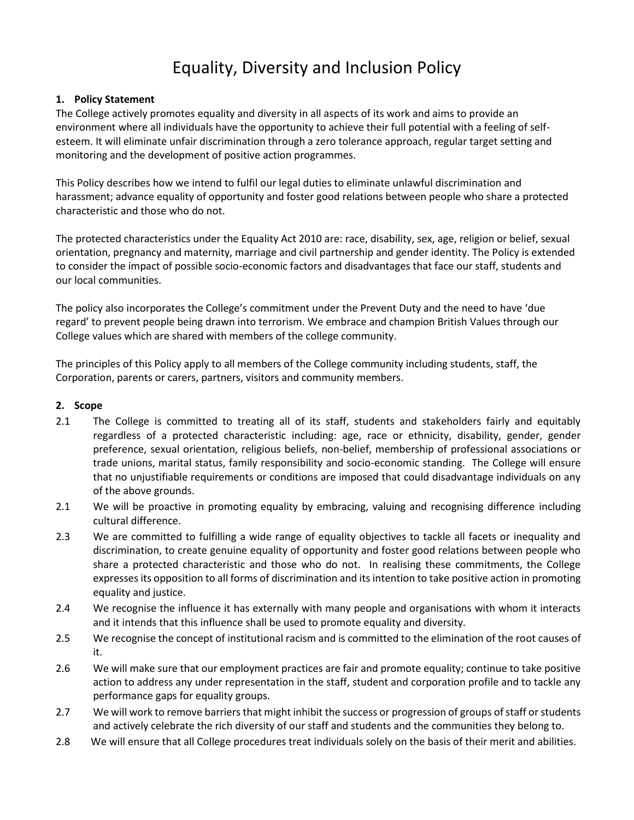# Equality, Diversity and Inclusion Policy

### **1. Policy Statement**

The College actively promotes equality and diversity in all aspects of its work and aims to provide an environment where all individuals have the opportunity to achieve their full potential with a feeling of selfesteem. It will eliminate unfair discrimination through a zero tolerance approach, regular target setting and monitoring and the development of positive action programmes.

This Policy describes how we intend to fulfil our legal duties to eliminate unlawful discrimination and harassment; advance equality of opportunity and foster good relations between people who share a protected characteristic and those who do not.

The protected characteristics under the Equality Act 2010 are: race, disability, sex, age, religion or belief, sexual orientation, pregnancy and maternity, marriage and civil partnership and gender identity. The Policy is extended to consider the impact of possible socio-economic factors and disadvantages that face our staff, students and our local communities.

The policy also incorporates the College's commitment under the Prevent Duty and the need to have 'due regard' to prevent people being drawn into terrorism. We embrace and champion British Values through our College values which are shared with members of the college community.

The principles of this Policy apply to all members of the College community including students, staff, the Corporation, parents or carers, partners, visitors and community members.

# **2. Scope**

- 2.1 The College is committed to treating all of its staff, students and stakeholders fairly and equitably regardless of a protected characteristic including: age, race or ethnicity, disability, gender, gender preference, sexual orientation, religious beliefs, non-belief, membership of professional associations or trade unions, marital status, family responsibility and socio-economic standing. The College will ensure that no unjustifiable requirements or conditions are imposed that could disadvantage individuals on any of the above grounds.
- 2.1 We will be proactive in promoting equality by embracing, valuing and recognising difference including cultural difference.
- 2.3 We are committed to fulfilling a wide range of equality objectives to tackle all facets or inequality and discrimination, to create genuine equality of opportunity and foster good relations between people who share a protected characteristic and those who do not. In realising these commitments, the College expresses its opposition to all forms of discrimination and its intention to take positive action in promoting equality and justice.
- 2.4 We recognise the influence it has externally with many people and organisations with whom it interacts and it intends that this influence shall be used to promote equality and diversity.
- 2.5 We recognise the concept of institutional racism and is committed to the elimination of the root causes of it.
- 2.6 We will make sure that our employment practices are fair and promote equality; continue to take positive action to address any under representation in the staff, student and corporation profile and to tackle any performance gaps for equality groups.
- 2.7 We will work to remove barriers that might inhibit the success or progression of groups of staff or students and actively celebrate the rich diversity of our staff and students and the communities they belong to.
- 2.8 We will ensure that all College procedures treat individuals solely on the basis of their merit and abilities.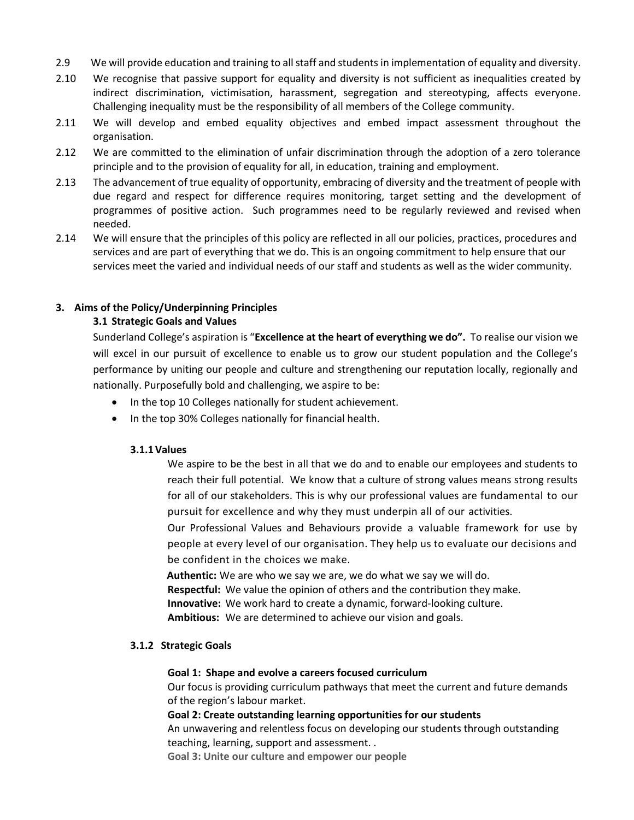- 2.9 We will provide education and training to all staff and students in implementation of equality and diversity.
- 2.10 We recognise that passive support for equality and diversity is not sufficient as inequalities created by indirect discrimination, victimisation, harassment, segregation and stereotyping, affects everyone. Challenging inequality must be the responsibility of all members of the College community.
- 2.11 We will develop and embed equality objectives and embed impact assessment throughout the organisation.
- 2.12 We are committed to the elimination of unfair discrimination through the adoption of a zero tolerance principle and to the provision of equality for all, in education, training and employment.
- 2.13 The advancement of true equality of opportunity, embracing of diversity and the treatment of people with due regard and respect for difference requires monitoring, target setting and the development of programmes of positive action. Such programmes need to be regularly reviewed and revised when needed.
- 2.14 We will ensure that the principles of this policy are reflected in all our policies, practices, procedures and services and are part of everything that we do. This is an ongoing commitment to help ensure that our services meet the varied and individual needs of our staff and students as well as the wider community.

### **3. Aims of the Policy/Underpinning Principles**

#### **3.1 Strategic Goals and Values**

Sunderland College's aspiration is "**Excellence at the heart of everything we do".** To realise our vision we will excel in our pursuit of excellence to enable us to grow our student population and the College's performance by uniting our people and culture and strengthening our reputation locally, regionally and nationally. Purposefully bold and challenging, we aspire to be:

- In the top 10 Colleges nationally for student achievement.
- In the top 30% Colleges nationally for financial health.

#### **3.1.1Values**

We aspire to be the best in all that we do and to enable our employees and students to reach their full potential. We know that a culture of strong values means strong results for all of our stakeholders. This is why our professional values are fundamental to our pursuit for excellence and why they must underpin all of our activities.

Our Professional Values and Behaviours provide a valuable framework for use by people at every level of our organisation. They help us to evaluate our decisions and be confident in the choices we make.

**Authentic:** We are who we say we are, we do what we say we will do.

**Respectful:** We value the opinion of others and the contribution they make.

**Innovative:** We work hard to create a dynamic, forward-looking culture.

**Ambitious:** We are determined to achieve our vision and goals.

### **3.1.2 Strategic Goals**

#### **Goal 1: Shape and evolve a careers focused curriculum**

Our focus is providing curriculum pathways that meet the current and future demands of the region's labour market.

### **Goal 2: Create outstanding learning opportunities for our students**

An unwavering and relentless focus on developing our students through outstanding teaching, learning, support and assessment. .

**Goal 3: Unite our culture and empower our people**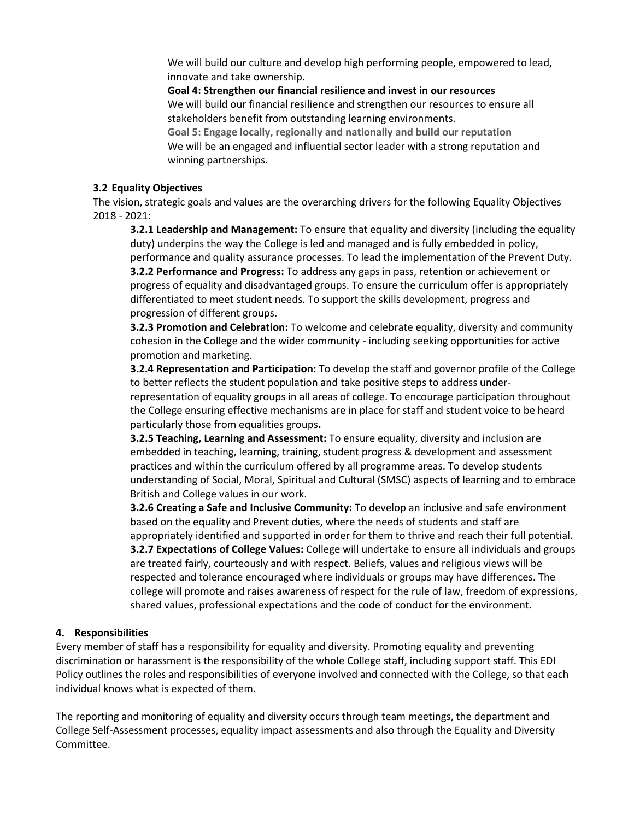We will build our culture and develop high performing people, empowered to lead, innovate and take ownership.

**Goal 4: Strengthen our financial resilience and invest in our resources**  We will build our financial resilience and strengthen our resources to ensure all stakeholders benefit from outstanding learning environments. **Goal 5: Engage locally, regionally and nationally and build our reputation** We will be an engaged and influential sector leader with a strong reputation and

winning partnerships.

### **3.2 Equality Objectives**

The vision, strategic goals and values are the overarching drivers for the following Equality Objectives 2018 - 2021:

**3.2.1 Leadership and Management:** To ensure that equality and diversity (including the equality duty) underpins the way the College is led and managed and is fully embedded in policy, performance and quality assurance processes. To lead the implementation of the Prevent Duty. **3.2.2 Performance and Progress:** To address any gaps in pass, retention or achievement or progress of equality and disadvantaged groups. To ensure the curriculum offer is appropriately differentiated to meet student needs. To support the skills development, progress and progression of different groups.

**3.2.3 Promotion and Celebration:** To welcome and celebrate equality, diversity and community cohesion in the College and the wider community - including seeking opportunities for active promotion and marketing.

**3.2.4 Representation and Participation:** To develop the staff and governor profile of the College to better reflects the student population and take positive steps to address underrepresentation of equality groups in all areas of college. To encourage participation throughout the College ensuring effective mechanisms are in place for staff and student voice to be heard particularly those from equalities groups**.**

**3.2.5 Teaching, Learning and Assessment:** To ensure equality, diversity and inclusion are embedded in teaching, learning, training, student progress & development and assessment practices and within the curriculum offered by all programme areas. To develop students understanding of Social, Moral, Spiritual and Cultural (SMSC) aspects of learning and to embrace British and College values in our work.

**3.2.6 Creating a Safe and Inclusive Community:** To develop an inclusive and safe environment based on the equality and Prevent duties, where the needs of students and staff are appropriately identified and supported in order for them to thrive and reach their full potential. **3.2.7 Expectations of College Values:** College will undertake to ensure all individuals and groups are treated fairly, courteously and with respect. Beliefs, values and religious views will be respected and tolerance encouraged where individuals or groups may have differences. The college will promote and raises awareness of respect for the rule of law, freedom of expressions, shared values, professional expectations and the code of conduct for the environment.

### **4. Responsibilities**

Every member of staff has a responsibility for equality and diversity. Promoting equality and preventing discrimination or harassment is the responsibility of the whole College staff, including support staff. This EDI Policy outlines the roles and responsibilities of everyone involved and connected with the College, so that each individual knows what is expected of them.

The reporting and monitoring of equality and diversity occurs through team meetings, the department and College Self-Assessment processes, equality impact assessments and also through the Equality and Diversity Committee.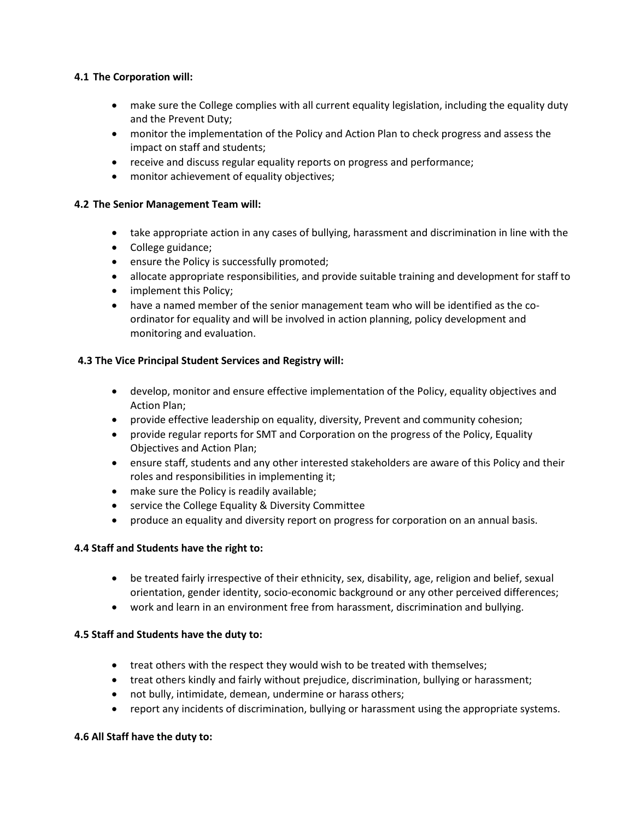# **4.1 The Corporation will:**

- make sure the College complies with all current equality legislation, including the equality duty and the Prevent Duty;
- monitor the implementation of the Policy and Action Plan to check progress and assess the impact on staff and students;
- receive and discuss regular equality reports on progress and performance;
- monitor achievement of equality objectives;

# **4.2 The Senior Management Team will:**

- take appropriate action in any cases of bullying, harassment and discrimination in line with the
- College guidance;
- ensure the Policy is successfully promoted;
- allocate appropriate responsibilities, and provide suitable training and development for staff to
- implement this Policy;
- have a named member of the senior management team who will be identified as the coordinator for equality and will be involved in action planning, policy development and monitoring and evaluation.

# **4.3 The Vice Principal Student Services and Registry will:**

- develop, monitor and ensure effective implementation of the Policy, equality objectives and Action Plan;
- provide effective leadership on equality, diversity, Prevent and community cohesion;
- provide regular reports for SMT and Corporation on the progress of the Policy, Equality Objectives and Action Plan;
- ensure staff, students and any other interested stakeholders are aware of this Policy and their roles and responsibilities in implementing it;
- make sure the Policy is readily available;
- service the College Equality & Diversity Committee
- produce an equality and diversity report on progress for corporation on an annual basis.

# **4.4 Staff and Students have the right to:**

- be treated fairly irrespective of their ethnicity, sex, disability, age, religion and belief, sexual orientation, gender identity, socio-economic background or any other perceived differences;
- work and learn in an environment free from harassment, discrimination and bullying.

# **4.5 Staff and Students have the duty to:**

- treat others with the respect they would wish to be treated with themselves;
- treat others kindly and fairly without prejudice, discrimination, bullying or harassment;
- not bully, intimidate, demean, undermine or harass others;
- report any incidents of discrimination, bullying or harassment using the appropriate systems.

### **4.6 All Staff have the duty to:**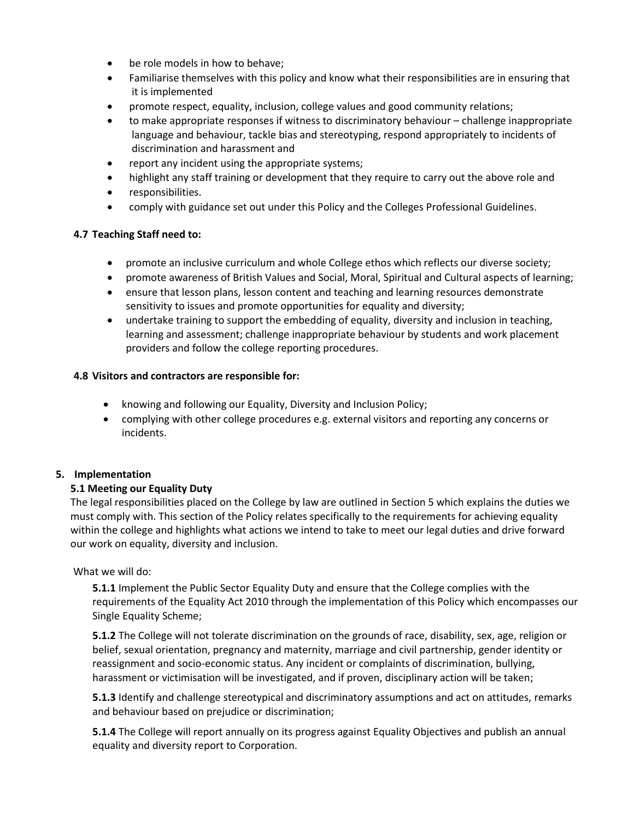- be role models in how to behave;
- Familiarise themselves with this policy and know what their responsibilities are in ensuring that it is implemented
- promote respect, equality, inclusion, college values and good community relations;
- to make appropriate responses if witness to discriminatory behaviour challenge inappropriate language and behaviour, tackle bias and stereotyping, respond appropriately to incidents of discrimination and harassment and
- report any incident using the appropriate systems;
- highlight any staff training or development that they require to carry out the above role and
- responsibilities.
- comply with guidance set out under this Policy and the Colleges Professional Guidelines.

### **4.7 Teaching Staff need to:**

- promote an inclusive curriculum and whole College ethos which reflects our diverse society;
- promote awareness of British Values and Social, Moral, Spiritual and Cultural aspects of learning;
- ensure that lesson plans, lesson content and teaching and learning resources demonstrate sensitivity to issues and promote opportunities for equality and diversity;
- undertake training to support the embedding of equality, diversity and inclusion in teaching, learning and assessment; challenge inappropriate behaviour by students and work placement providers and follow the college reporting procedures.

#### **4.8 Visitors and contractors are responsible for:**

- knowing and following our Equality, Diversity and Inclusion Policy;
- complying with other college procedures e.g. external visitors and reporting any concerns or incidents.

### **5. Implementation**

#### **5.1 Meeting our Equality Duty**

The legal responsibilities placed on the College by law are outlined in Section 5 which explains the duties we must comply with. This section of the Policy relates specifically to the requirements for achieving equality within the college and highlights what actions we intend to take to meet our legal duties and drive forward our work on equality, diversity and inclusion.

#### What we will do:

**5.1.1** Implement the Public Sector Equality Duty and ensure that the College complies with the requirements of the Equality Act 2010 through the implementation of this Policy which encompasses our Single Equality Scheme;

**5.1.2** The College will not tolerate discrimination on the grounds of race, disability, sex, age, religion or belief, sexual orientation, pregnancy and maternity, marriage and civil partnership, gender identity or reassignment and socio-economic status. Any incident or complaints of discrimination, bullying, harassment or victimisation will be investigated, and if proven, disciplinary action will be taken;

**5.1.3** Identify and challenge stereotypical and discriminatory assumptions and act on attitudes, remarks and behaviour based on prejudice or discrimination;

**5.1.4** The College will report annually on its progress against Equality Objectives and publish an annual equality and diversity report to Corporation.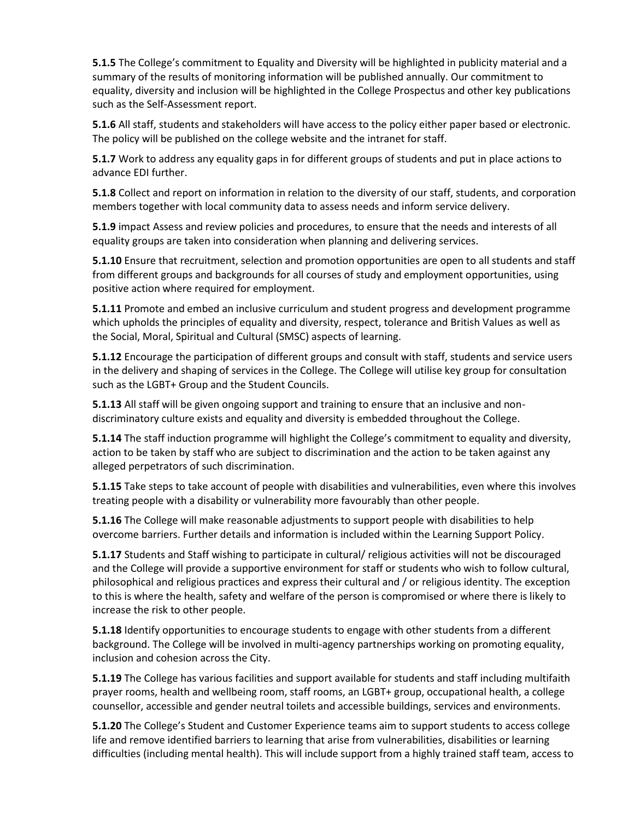**5.1.5** The College's commitment to Equality and Diversity will be highlighted in publicity material and a summary of the results of monitoring information will be published annually. Our commitment to equality, diversity and inclusion will be highlighted in the College Prospectus and other key publications such as the Self-Assessment report.

**5.1.6** All staff, students and stakeholders will have access to the policy either paper based or electronic. The policy will be published on the college website and the intranet for staff.

**5.1.7** Work to address any equality gaps in for different groups of students and put in place actions to advance EDI further.

**5.1.8** Collect and report on information in relation to the diversity of our staff, students, and corporation members together with local community data to assess needs and inform service delivery.

**5.1.9** impact Assess and review policies and procedures, to ensure that the needs and interests of all equality groups are taken into consideration when planning and delivering services.

**5.1.10** Ensure that recruitment, selection and promotion opportunities are open to all students and staff from different groups and backgrounds for all courses of study and employment opportunities, using positive action where required for employment.

**5.1.11** Promote and embed an inclusive curriculum and student progress and development programme which upholds the principles of equality and diversity, respect, tolerance and British Values as well as the Social, Moral, Spiritual and Cultural (SMSC) aspects of learning.

**5.1.12** Encourage the participation of different groups and consult with staff, students and service users in the delivery and shaping of services in the College. The College will utilise key group for consultation such as the LGBT+ Group and the Student Councils.

**5.1.13** All staff will be given ongoing support and training to ensure that an inclusive and nondiscriminatory culture exists and equality and diversity is embedded throughout the College.

**5.1.14** The staff induction programme will highlight the College's commitment to equality and diversity, action to be taken by staff who are subject to discrimination and the action to be taken against any alleged perpetrators of such discrimination.

**5.1.15** Take steps to take account of people with disabilities and vulnerabilities, even where this involves treating people with a disability or vulnerability more favourably than other people.

**5.1.16** The College will make reasonable adjustments to support people with disabilities to help overcome barriers. Further details and information is included within the Learning Support Policy.

**5.1.17** Students and Staff wishing to participate in cultural/ religious activities will not be discouraged and the College will provide a supportive environment for staff or students who wish to follow cultural, philosophical and religious practices and express their cultural and / or religious identity. The exception to this is where the health, safety and welfare of the person is compromised or where there is likely to increase the risk to other people.

**5.1.18** Identify opportunities to encourage students to engage with other students from a different background. The College will be involved in multi-agency partnerships working on promoting equality, inclusion and cohesion across the City.

**5.1.19** The College has various facilities and support available for students and staff including multifaith prayer rooms, health and wellbeing room, staff rooms, an LGBT+ group, occupational health, a college counsellor, accessible and gender neutral toilets and accessible buildings, services and environments.

**5.1.20** The College's Student and Customer Experience teams aim to support students to access college life and remove identified barriers to learning that arise from vulnerabilities, disabilities or learning difficulties (including mental health). This will include support from a highly trained staff team, access to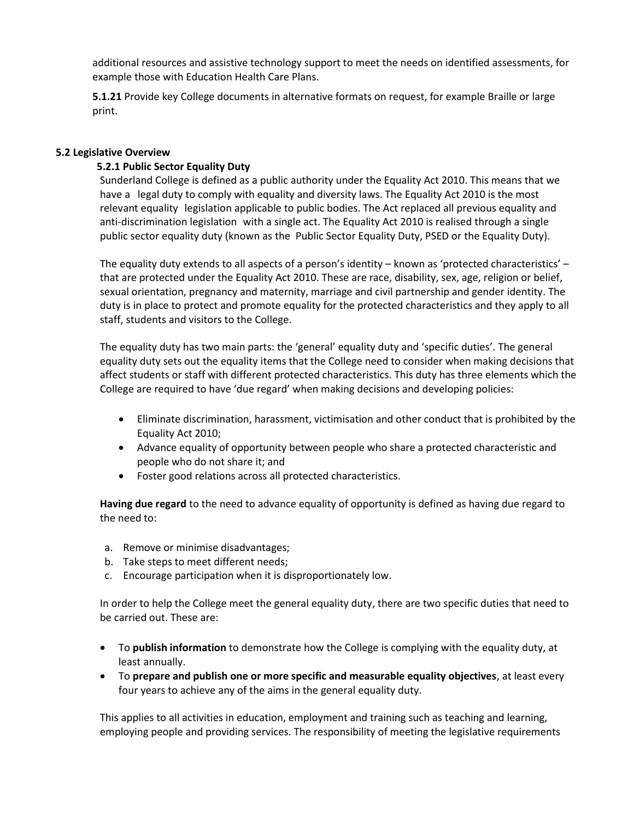additional resources and assistive technology support to meet the needs on identified assessments, for example those with Education Health Care Plans.

**5.1.21** Provide key College documents in alternative formats on request, for example Braille or large print.

#### **5.2 Legislative Overview**

#### **5.2.1 Public Sector Equality Duty**

Sunderland College is defined as a public authority under the Equality Act 2010. This means that we have a legal duty to comply with equality and diversity laws. The Equality Act 2010 is the most relevant equality legislation applicable to public bodies. The Act replaced all previous equality and anti-discrimination legislation with a single act. The Equality Act 2010 is realised through a single public sector equality duty (known as the Public Sector Equality Duty, PSED or the Equality Duty).

The equality duty extends to all aspects of a person's identity – known as 'protected characteristics' – that are protected under the Equality Act 2010. These are race, disability, sex, age, religion or belief, sexual orientation, pregnancy and maternity, marriage and civil partnership and gender identity. The duty is in place to protect and promote equality for the protected characteristics and they apply to all staff, students and visitors to the College.

The equality duty has two main parts: the 'general' equality duty and 'specific duties'. The general equality duty sets out the equality items that the College need to consider when making decisions that affect students or staff with different protected characteristics. This duty has three elements which the College are required to have 'due regard' when making decisions and developing policies:

- Eliminate discrimination, harassment, victimisation and other conduct that is prohibited by the Equality Act 2010;
- Advance equality of opportunity between people who share a protected characteristic and people who do not share it; and
- Foster good relations across all protected characteristics.

**Having due regard** to the need to advance equality of opportunity is defined as having due regard to the need to:

- a. Remove or minimise disadvantages;
- b. Take steps to meet different needs;
- c. Encourage participation when it is disproportionately low.

In order to help the College meet the general equality duty, there are two specific duties that need to be carried out. These are:

- To **publish information** to demonstrate how the College is complying with the equality duty, at least annually.
- To **prepare and publish one or more specific and measurable equality objectives**, at least every four years to achieve any of the aims in the general equality duty.

This applies to all activities in education, employment and training such as teaching and learning, employing people and providing services. The responsibility of meeting the legislative requirements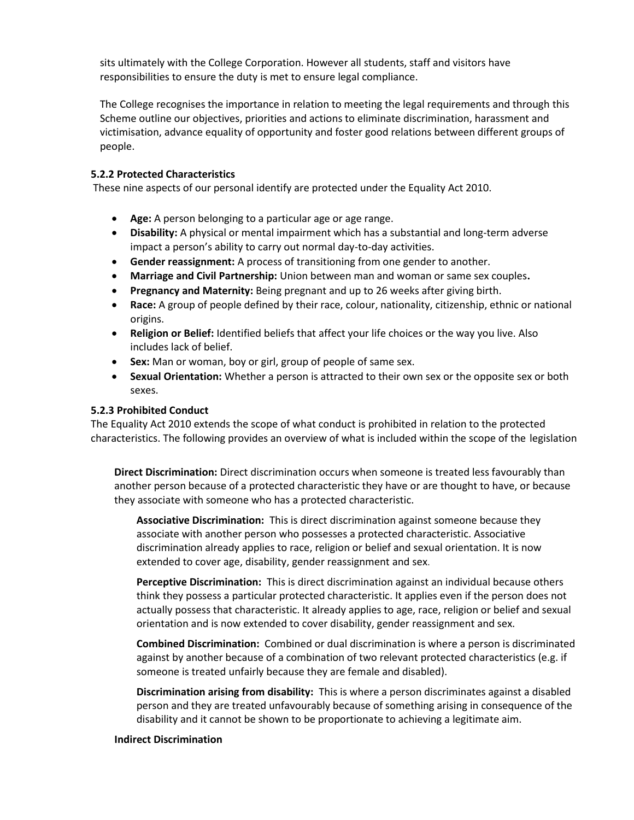sits ultimately with the College Corporation. However all students, staff and visitors have responsibilities to ensure the duty is met to ensure legal compliance.

The College recognises the importance in relation to meeting the legal requirements and through this Scheme outline our objectives, priorities and actions to eliminate discrimination, harassment and victimisation, advance equality of opportunity and foster good relations between different groups of people.

### **5.2.2 Protected Characteristics**

These nine aspects of our personal identify are protected under the Equality Act 2010.

- **Age:** A person belonging to a particular age or age range.
- **Disability:** A physical or mental impairment which has a substantial and long-term adverse impact a person's ability to carry out normal day-to-day activities.
- **Gender reassignment:** A process of transitioning from one gender to another.
- **Marriage and Civil Partnership:** Union between man and woman or same sex couples**.**
- **Pregnancy and Maternity:** Being pregnant and up to 26 weeks after giving birth.
- **Race:** A group of people defined by their race, colour, nationality, citizenship, ethnic or national origins.
- **Religion or Belief:** Identified beliefs that affect your life choices or the way you live. Also includes lack of belief.
- **Sex:** Man or woman, boy or girl, group of people of same sex.
- **Sexual Orientation:** Whether a person is attracted to their own sex or the opposite sex or both sexes.

#### **5.2.3 Prohibited Conduct**

The Equality Act 2010 extends the scope of what conduct is prohibited in relation to the protected characteristics. The following provides an overview of what is included within the scope of the legislation

**Direct Discrimination:** Direct discrimination occurs when someone is treated less favourably than another person because of a protected characteristic they have or are thought to have, or because they associate with someone who has a protected characteristic.

**Associative Discrimination:** This is direct discrimination against someone because they associate with another person who possesses a protected characteristic. Associative discrimination already applies to race, religion or belief and sexual orientation. It is now extended to cover age, disability, gender reassignment and sex.

**Perceptive Discrimination:** This is direct discrimination against an individual because others think they possess a particular protected characteristic. It applies even if the person does not actually possess that characteristic. It already applies to age, race, religion or belief and sexual orientation and is now extended to cover disability, gender reassignment and sex.

**Combined Discrimination:** Combined or dual discrimination is where a person is discriminated against by another because of a combination of two relevant protected characteristics (e.g. if someone is treated unfairly because they are female and disabled).

**Discrimination arising from disability:** This is where a person discriminates against a disabled person and they are treated unfavourably because of something arising in consequence of the disability and it cannot be shown to be proportionate to achieving a legitimate aim.

#### **Indirect Discrimination**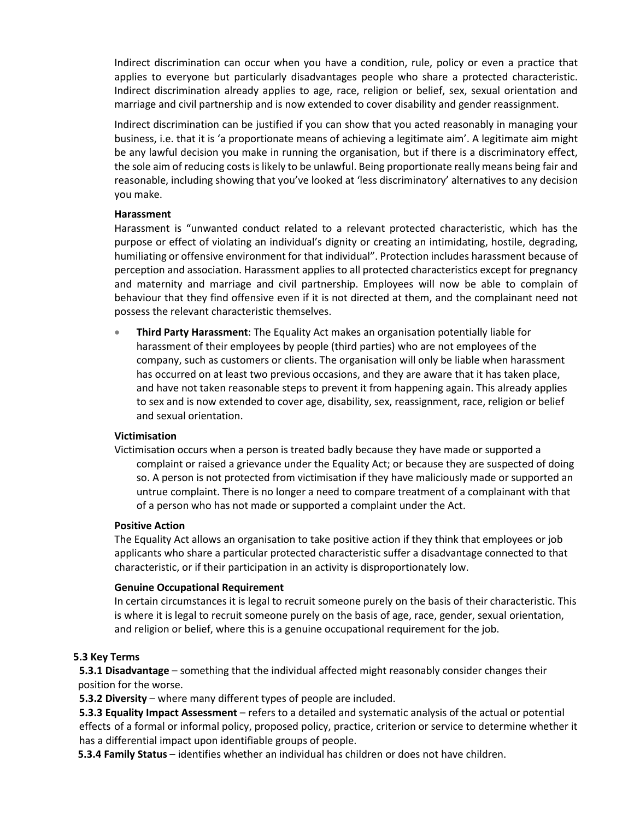Indirect discrimination can occur when you have a condition, rule, policy or even a practice that applies to everyone but particularly disadvantages people who share a protected characteristic. Indirect discrimination already applies to age, race, religion or belief, sex, sexual orientation and marriage and civil partnership and is now extended to cover disability and gender reassignment.

Indirect discrimination can be justified if you can show that you acted reasonably in managing your business, i.e. that it is 'a proportionate means of achieving a legitimate aim'. A legitimate aim might be any lawful decision you make in running the organisation, but if there is a discriminatory effect, the sole aim of reducing costs is likely to be unlawful. Being proportionate really means being fair and reasonable, including showing that you've looked at 'less discriminatory' alternatives to any decision you make.

#### **Harassment**

Harassment is "unwanted conduct related to a relevant protected characteristic, which has the purpose or effect of violating an individual's dignity or creating an intimidating, hostile, degrading, humiliating or offensive environment for that individual". Protection includes harassment because of perception and association. Harassment applies to all protected characteristics except for pregnancy and maternity and marriage and civil partnership. Employees will now be able to complain of behaviour that they find offensive even if it is not directed at them, and the complainant need not possess the relevant characteristic themselves.

 **Third Party Harassment**: The Equality Act makes an organisation potentially liable for harassment of their employees by people (third parties) who are not employees of the company, such as customers or clients. The organisation will only be liable when harassment has occurred on at least two previous occasions, and they are aware that it has taken place, and have not taken reasonable steps to prevent it from happening again. This already applies to sex and is now extended to cover age, disability, sex, reassignment, race, religion or belief and sexual orientation.

### **Victimisation**

Victimisation occurs when a person is treated badly because they have made or supported a complaint or raised a grievance under the Equality Act; or because they are suspected of doing so. A person is not protected from victimisation if they have maliciously made or supported an untrue complaint. There is no longer a need to compare treatment of a complainant with that of a person who has not made or supported a complaint under the Act.

#### **Positive Action**

The Equality Act allows an organisation to take positive action if they think that employees or job applicants who share a particular protected characteristic suffer a disadvantage connected to that characteristic, or if their participation in an activity is disproportionately low.

### **Genuine Occupational Requirement**

In certain circumstances it is legal to recruit someone purely on the basis of their characteristic. This is where it is legal to recruit someone purely on the basis of age, race, gender, sexual orientation, and religion or belief, where this is a genuine occupational requirement for the job.

### **5.3 Key Terms**

**5.3.1 Disadvantage** – something that the individual affected might reasonably consider changes their position for the worse.

**5.3.2 Diversity** – where many different types of people are included.

**5.3.3 Equality Impact Assessment** – refers to a detailed and systematic analysis of the actual or potential effects of a formal or informal policy, proposed policy, practice, criterion or service to determine whether it has a differential impact upon identifiable groups of people.

**5.3.4 Family Status** – identifies whether an individual has children or does not have children.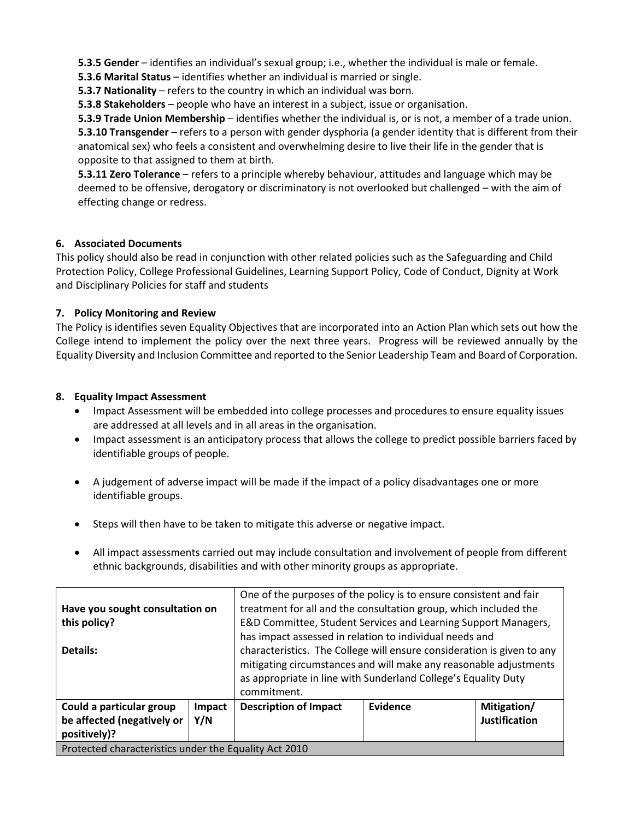**5.3.5 Gender** – identifies an individual's sexual group; i.e., whether the individual is male or female.

**5.3.6 Marital Status** – identifies whether an individual is married or single.

**5.3.7 Nationality** – refers to the country in which an individual was born.

**5.3.8 Stakeholders** – people who have an interest in a subject, issue or organisation.

**5.3.9 Trade Union Membership** – identifies whether the individual is, or is not, a member of a trade union. **5.3.10 Transgender** – refers to a person with gender dysphoria (a gender identity that is different from their anatomical sex) who feels a consistent and overwhelming desire to live their life in the gender that is opposite to that assigned to them at birth.

**5.3.11 Zero Tolerance** – refers to a principle whereby behaviour, attitudes and language which may be deemed to be offensive, derogatory or discriminatory is not overlooked but challenged – with the aim of effecting change or redress.

# **6. Associated Documents**

This policy should also be read in conjunction with other related policies such as the Safeguarding and Child Protection Policy, College Professional Guidelines, Learning Support Policy, Code of Conduct, Dignity at Work and Disciplinary Policies for staff and students

# **7. Policy Monitoring and Review**

The Policy is identifies seven Equality Objectives that are incorporated into an Action Plan which sets out how the College intend to implement the policy over the next three years. Progress will be reviewed annually by the Equality Diversity and Inclusion Committee and reported to the Senior Leadership Team and Board of Corporation.

# **8. Equality Impact Assessment**

- Impact Assessment will be embedded into college processes and procedures to ensure equality issues are addressed at all levels and in all areas in the organisation.
- Impact assessment is an anticipatory process that allows the college to predict possible barriers faced by identifiable groups of people.
- A judgement of adverse impact will be made if the impact of a policy disadvantages one or more identifiable groups.
- Steps will then have to be taken to mitigate this adverse or negative impact.
- All impact assessments carried out may include consultation and involvement of people from different ethnic backgrounds, disabilities and with other minority groups as appropriate.

| Have you sought consultation on                       |               | One of the purposes of the policy is to ensure consistent and fair<br>treatment for all and the consultation group, which included the                                                                                       |          |                                     |  |
|-------------------------------------------------------|---------------|------------------------------------------------------------------------------------------------------------------------------------------------------------------------------------------------------------------------------|----------|-------------------------------------|--|
| this policy?                                          |               | E&D Committee, Student Services and Learning Support Managers,                                                                                                                                                               |          |                                     |  |
|                                                       |               | has impact assessed in relation to individual needs and                                                                                                                                                                      |          |                                     |  |
| Details:                                              |               | characteristics. The College will ensure consideration is given to any<br>mitigating circumstances and will make any reasonable adjustments<br>as appropriate in line with Sunderland College's Equality Duty<br>commitment. |          |                                     |  |
| Could a particular group                              | Impact<br>Y/N | <b>Description of Impact</b>                                                                                                                                                                                                 | Evidence | Mitigation/<br><b>Justification</b> |  |
| be affected (negatively or<br>positively)?            |               |                                                                                                                                                                                                                              |          |                                     |  |
| Protected characteristics under the Equality Act 2010 |               |                                                                                                                                                                                                                              |          |                                     |  |